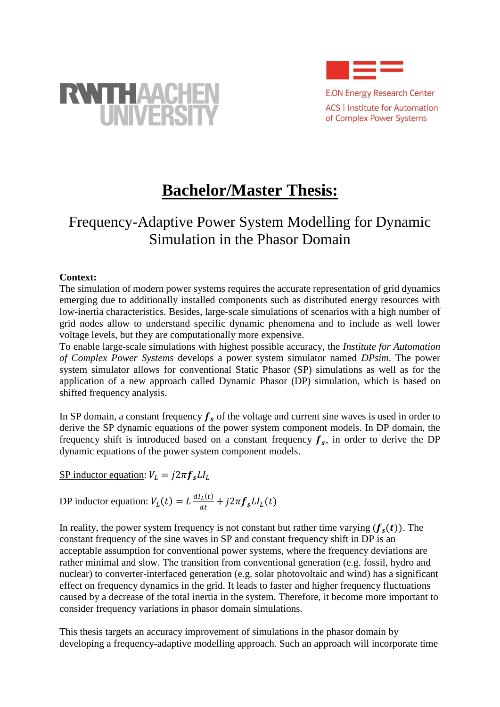



**E.ON Energy Research Center ACS | Institute for Automation** of Complex Power Systems

# **Bachelor/Master Thesis:**

## Frequency-Adaptive Power System Modelling for Dynamic Simulation in the Phasor Domain

#### **Context:**

The simulation of modern power systems requires the accurate representation of grid dynamics emerging due to additionally installed components such as distributed energy resources with low-inertia characteristics. Besides, large-scale simulations of scenarios with a high number of grid nodes allow to understand specific dynamic phenomena and to include as well lower voltage levels, but they are computationally more expensive.

To enable large-scale simulations with highest possible accuracy, the *Institute for Automation of Complex Power Systems* develops a power system simulator named *DPsim*. The power system simulator allows for conventional Static Phasor (SP) simulations as well as for the application of a new approach called Dynamic Phasor (DP) simulation, which is based on shifted frequency analysis.

In SP domain, a constant frequency  $f_s$  of the voltage and current sine waves is used in order to derive the SP dynamic equations of the power system component models. In DP domain, the frequency shift is introduced based on a constant frequency  $f_s$ , in order to derive the DP dynamic equations of the power system component models.

SP inductor equation:  $V_L = j2\pi f_s L I_L$ 

<u>DP inductor equation</u>:  $V_L(t) = L \frac{dI_L(t)}{dt}$  $\frac{dL(t)}{dt} + j2\pi f_s L_l(t)$ 

In reality, the power system frequency is not constant but rather time varying  $(f_s(t))$ . The constant frequency of the sine waves in SP and constant frequency shift in DP is an acceptable assumption for conventional power systems, where the frequency deviations are rather minimal and slow. The transition from conventional generation (e.g. fossil, hydro and nuclear) to converter-interfaced generation (e.g. solar photovoltaic and wind) has a significant effect on frequency dynamics in the grid. It leads to faster and higher frequency fluctuations caused by a decrease of the total inertia in the system. Therefore, it become more important to consider frequency variations in phasor domain simulations.

This thesis targets an accuracy improvement of simulations in the phasor domain by developing a frequency-adaptive modelling approach. Such an approach will incorporate time